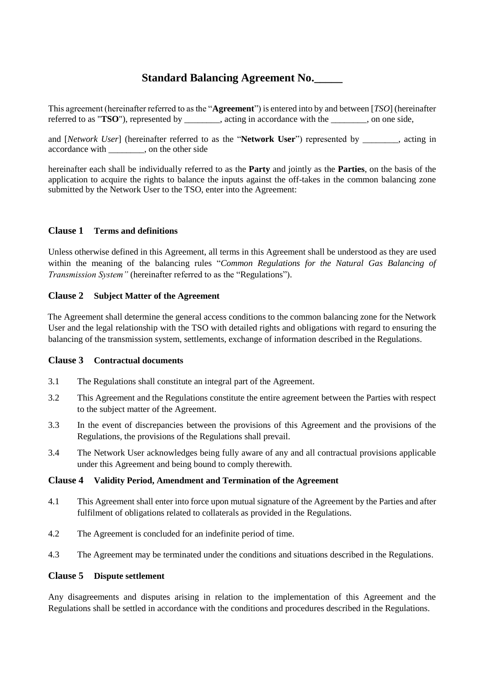# **Standard Balancing Agreement No.\_\_\_\_\_**

This agreement (hereinafter referred to as the "**Agreement**") is entered into by and between [*TSO*] (hereinafter referred to as "**TSO**"), represented by \_\_\_\_\_\_\_\_, acting in accordance with the \_\_\_\_\_\_\_\_, on one side,

and [*Network User*] (hereinafter referred to as the "**Network User**") represented by \_\_\_\_\_\_\_\_, acting in accordance with , on the other side

hereinafter each shall be individually referred to as the **Party** and jointly as the **Parties**, on the basis of the application to acquire the rights to balance the inputs against the off-takes in the common balancing zone submitted by the Network User to the TSO, enter into the Agreement:

## **Clause 1 Terms and definitions**

Unless otherwise defined in this Agreement, all terms in this Agreement shall be understood as they are used within the meaning of the balancing rules "*Common Regulations for the Natural Gas Balancing of Transmission System"* (hereinafter referred to as the "Regulations").

## **Clause 2 Subject Matter of the Agreement**

The Agreement shall determine the general access conditions to the common balancing zone for the Network User and the legal relationship with the TSO with detailed rights and obligations with regard to ensuring the balancing of the transmission system, settlements, exchange of information described in the Regulations.

#### **Clause 3 Contractual documents**

- 3.1 The Regulations shall constitute an integral part of the Agreement.
- 3.2 This Agreement and the Regulations constitute the entire agreement between the Parties with respect to the subject matter of the Agreement.
- 3.3 In the event of discrepancies between the provisions of this Agreement and the provisions of the Regulations, the provisions of the Regulations shall prevail.
- 3.4 The Network User acknowledges being fully aware of any and all contractual provisions applicable under this Agreement and being bound to comply therewith.

#### **Clause 4 Validity Period, Amendment and Termination of the Agreement**

- 4.1 This Agreement shall enter into force upon mutual signature of the Agreement by the Parties and after fulfilment of obligations related to collaterals as provided in the Regulations.
- 4.2 The Agreement is concluded for an indefinite period of time.
- 4.3 The Agreement may be terminated under the conditions and situations described in the Regulations.

#### **Clause 5 Dispute settlement**

Any disagreements and disputes arising in relation to the implementation of this Agreement and the Regulations shall be settled in accordance with the conditions and procedures described in the Regulations.